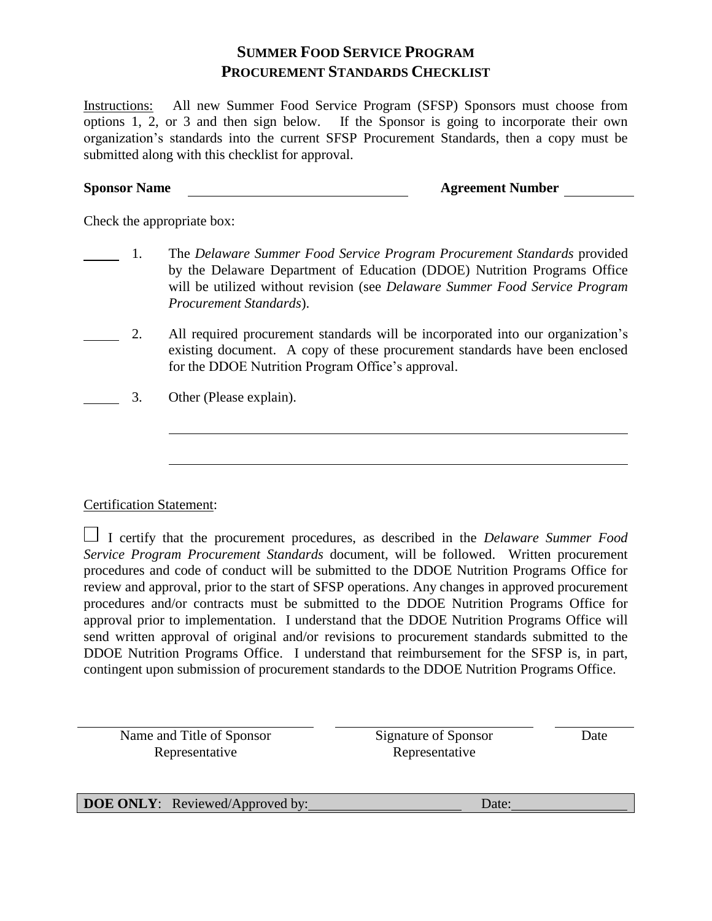## **SUMMER FOOD SERVICE PROGRAM PROCUREMENT STANDARDS CHECKLIST**

Instructions: All new Summer Food Service Program (SFSP) Sponsors must choose from options 1, 2, or 3 and then sign below. If the Sponsor is going to incorporate their own organization's standards into the current SFSP Procurement Standards, then a copy must be submitted along with this checklist for approval.

## **Sponsor Name Agreement Number**

Check the appropriate box:

- 1. The *Delaware Summer Food Service Program Procurement Standards* provided by the Delaware Department of Education (DDOE) Nutrition Programs Office will be utilized without revision (see *Delaware Summer Food Service Program Procurement Standards*).
- 2. All required procurement standards will be incorporated into our organization's existing document. A copy of these procurement standards have been enclosed for the DDOE Nutrition Program Office's approval.
- 3. Other (Please explain).

## Certification Statement:

 $\overline{a}$ 

 $\overline{a}$ 

 I certify that the procurement procedures, as described in the *Delaware Summer Food Service Program Procurement Standards* document, will be followed. Written procurement procedures and code of conduct will be submitted to the DDOE Nutrition Programs Office for review and approval, prior to the start of SFSP operations. Any changes in approved procurement procedures and/or contracts must be submitted to the DDOE Nutrition Programs Office for approval prior to implementation. I understand that the DDOE Nutrition Programs Office will send written approval of original and/or revisions to procurement standards submitted to the DDOE Nutrition Programs Office. I understand that reimbursement for the SFSP is, in part, contingent upon submission of procurement standards to the DDOE Nutrition Programs Office.

Name and Title of Sponsor Representative

Signature of Sponsor Representative

Date

**DOE ONLY**: Reviewed/Approved by: Date: